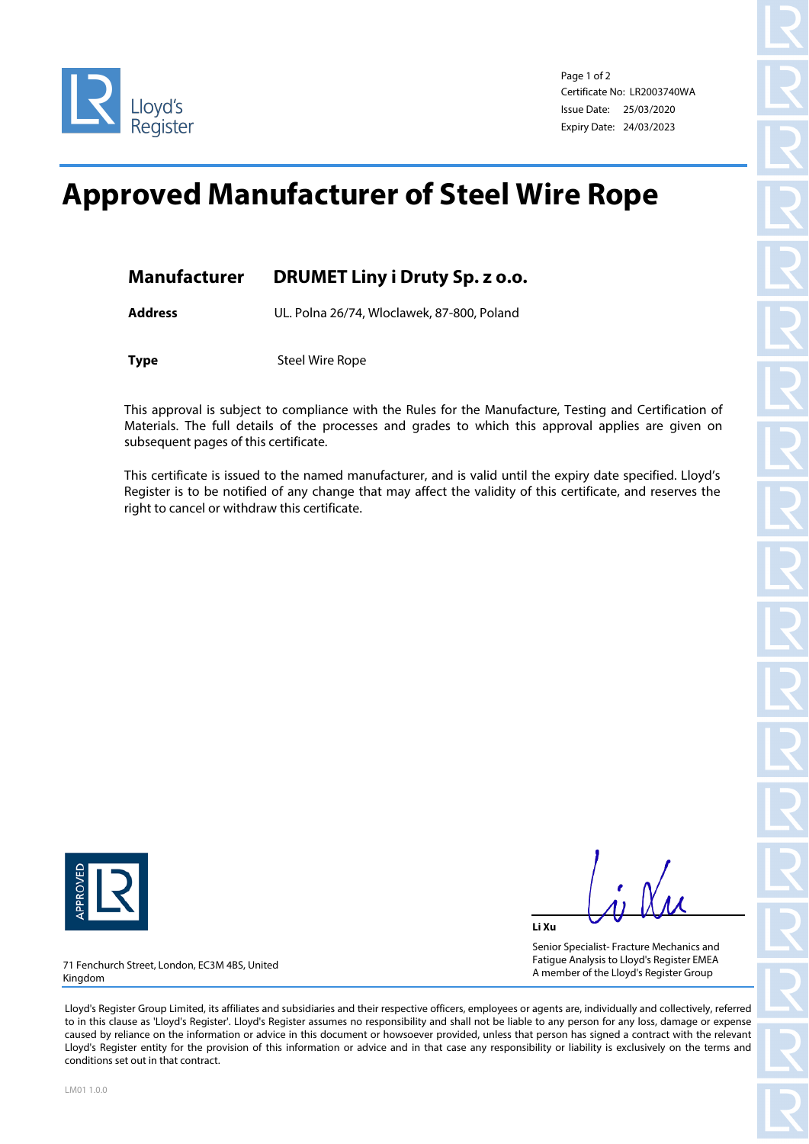

Page 1 of 2 Certificate No: LR2003740WA Issue Date: 25/03/2020 Expiry Date: 24/03/2023

## **Approved Manufacturer of Steel Wire Rope**

| <b>Manufacturer</b> | <b>DRUMET Liny i Druty Sp. z o.o.</b> |
|---------------------|---------------------------------------|
|                     |                                       |

**Address** UL. Polna 26/74, Wloclawek, 87-800, Poland

**Type** Steel Wire Rope

This approval is subject to compliance with the Rules for the Manufacture, Testing and Certification of Materials. The full details of the processes and grades to which this approval applies are given on subsequent pages of this certificate.

This certificate is issued to the named manufacturer, and is valid until the expiry date specified. Lloyd's Register is to be notified of any change that may affect the validity of this certificate, and reserves the right to cancel or withdraw this certificate.



**Li Xu**

Senior Specialist- Fracture Mechanics and Fatigue Analysis to Lloyd's Register EMEA A member of the Lloyd's Register Group

71 Fenchurch Street, London, EC3M 4BS, United Kingdom

Lloyd's Register Group Limited, its affiliates and subsidiaries and their respective officers, employees or agents are, individually and collectively, referred to in this clause as 'Lloyd's Register'. Lloyd's Register assumes no responsibility and shall not be liable to any person for any loss, damage or expense caused by reliance on the information or advice in this document or howsoever provided, unless that person has signed a contract with the relevant Lloyd's Register entity for the provision of this information or advice and in that case any responsibility or liability is exclusively on the terms and conditions set out in that contract.